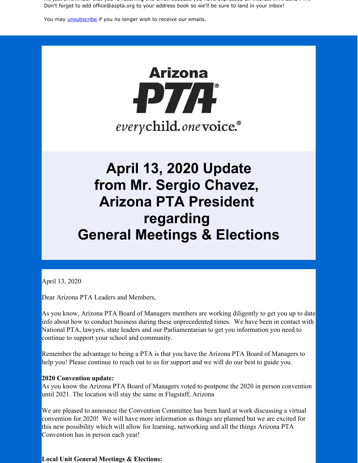Hi, just a reminder that you're receiving this email because you have expressed an interest in Arizona PTA. Don't forget to add office@azpta.org to your address book so we'll be sure to land in your inbox!

You may *unsubscribe* if you no longer wish to receive our emails.

# **Arizona** -PT/F everychild.onevoice.<sup>®</sup>

## **April 13, 2020 Update from Mr. Sergio Chavez, Arizona PTA President regarding General Meetings & Elections**

April 13, 2020

Dear Arizona PTA Leaders and Members,

As you know, Arizona PTA Board of Managers members are working diligently to get you up to date info about how to conduct business during these unprecedented times. We have been in contact with National PTA, lawyers, state leaders and our Parliamentarian to get you information you need to continue to support your school and community.

Remember the advantage to being a PTA is that you have the Arizona PTA Board of Managers to help you! Please continue to reach out to us for support and we will do our best to guide you.

#### **2020 Convention update:**

As you know the Arizona PTA Board of Managers voted to postpone the 2020 in person convention until 2021. The location will stay the same in Flagstaff, Arizona

We are pleased to announce the Convention Committee has been hard at work discussing a virtual convention for 2020! We will have more information as things are planned but we are excited for this new possibility which will allow for learning, networking and all the things Arizona PTA Convention has in person each year!

**Local Unit General Meetings & Elections:**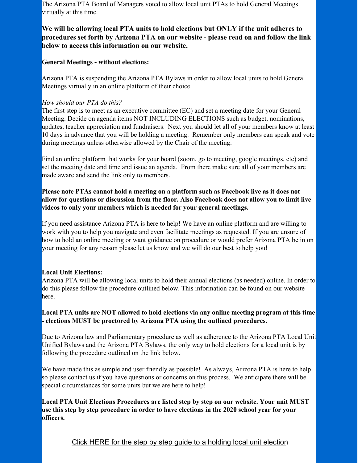The Arizona PTA Board of Managers voted to allow local unit PTAs to hold General Meetings virtually at this time.

### **We will be allowing local PTA units to hold elections but ONLY if the unit adheres to procedures set forth by Arizona PTA on our website - please read on and follow the link below to access this information on our website.**

#### **General Meetings - without elections:**

Arizona PTA is suspending the Arizona PTA Bylaws in order to allow local units to hold General Meetings virtually in an online platform of their choice.

#### *How should our PTA do this?*

The first step is to meet as an executive committee (EC) and set a meeting date for your General Meeting. Decide on agenda items NOT INCLUDING ELECTIONS such as budget, nominations, updates, teacher appreciation and fundraisers. Next you should let all of your members know at least 10 days in advance that you will be holding a meeting. Remember only members can speak and vote during meetings unless otherwise allowed by the Chair of the meeting.

Find an online platform that works for your board (zoom, go to meeting, google meetings, etc) and set the meeting date and time and issue an agenda. From there make sure all of your members are made aware and send the link only to members.

#### **Please note PTAs cannot hold a meeting on a platform such as Facebook live as it does not allow for questions or discussion from the floor. Also Facebook does not allow you to limit live videos to only your members which is needed for your general meetings.**

If you need assistance Arizona PTA is here to help! We have an online platform and are willing to work with you to help you navigate and even facilitate meetings as requested. If you are unsure of how to hold an online meeting or want guidance on procedure or would prefer Arizona PTA be in on your meeting for any reason please let us know and we will do our best to help you!

#### **Local Unit Elections:**

Arizona PTA will be allowing local units to hold their annual elections (as needed) online. In order to do this please follow the procedure outlined below. This information can be found on our website here.

#### **Local PTA units are NOT allowed to hold elections via any online meeting program at this time - elections MUST be proctored by Arizona PTA using the outlined procedures.**

Due to Arizona law and Parliamentary procedure as well as adherence to the Arizona PTA Local Unit Unified Bylaws and the Arizona PTA Bylaws, the only way to hold elections for a local unit is by following the procedure outlined on the link below.

We have made this as simple and user friendly as possible! As always, Arizona PTA is here to help so please contact us if you have questions or concerns on this process. We anticipate there will be special circumstances for some units but we are here to help!

**Local PTA Unit Elections Procedures are listed step by step on our website. Your unit MUST use this step by step procedure in order to have elections in the 2020 school year for your officers.**

Click HERE for the step by step guide to a holding local unit election